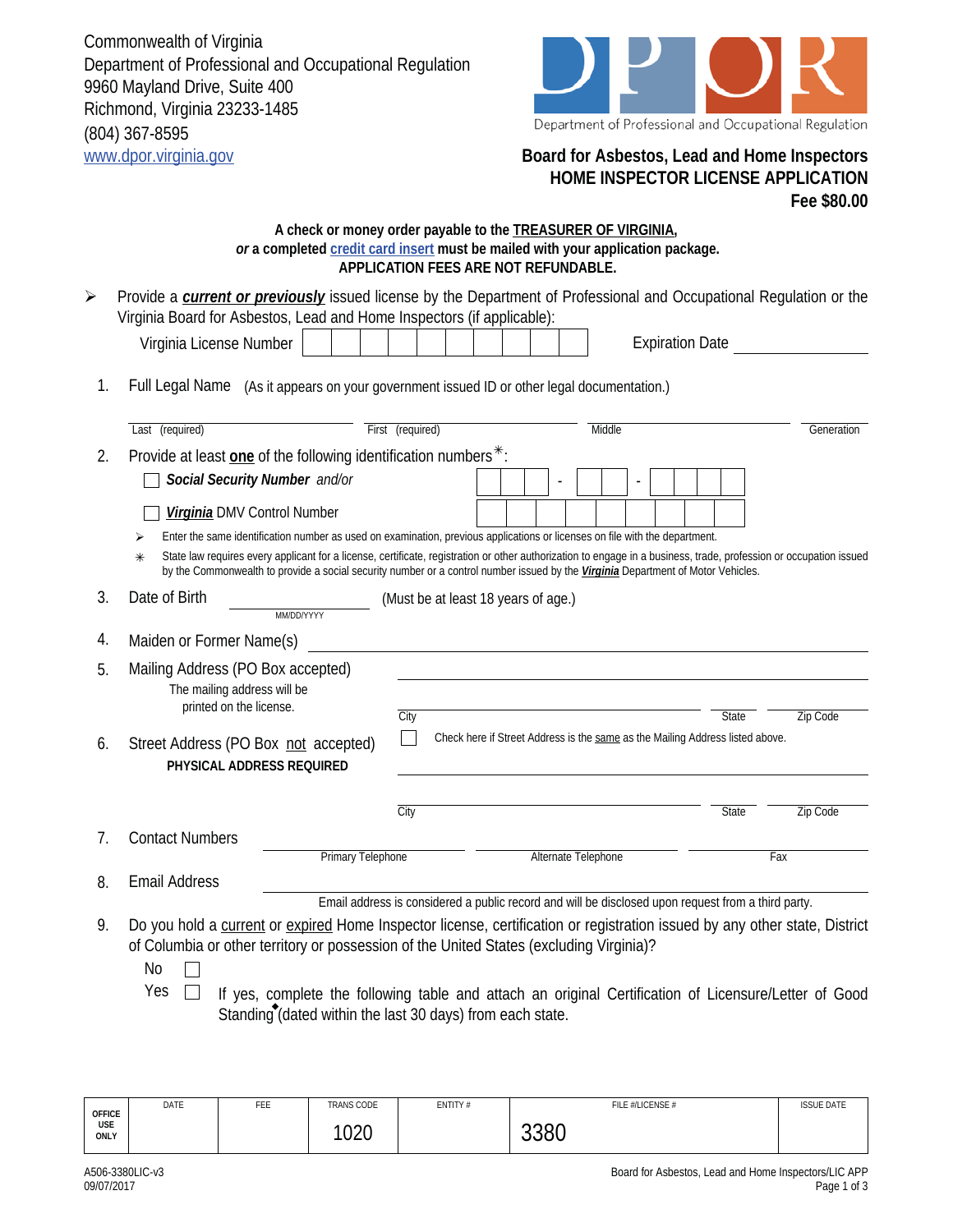Commonwealth of Virginia Department of Professional and Occupational Regulation 9960 Mayland Drive, Suite 400 Richmond, Virginia 23233-1485 (804) 367-8595 www.dpor.virginia.gov **Board for Asbestos, Lead and Home Inspectors**



## **HOME INSPECTOR LICENSE APPLICATION Fee \$80.00**

## **A check or money order payable to the TREASURER OF VIRGINIA,**  *or* **a completed credit card insert must be mailed with your application package. APPLICATION FEES ARE NOT REFUNDABLE.**

- Virginia License Number  $\begin{vmatrix} 1 & 1 & 1 \\ 1 & 1 & 1 \end{vmatrix}$  | | | Expiration Date Provide a *current or previously* issued license by the Department of Professional and Occupational Regulation or the Virginia Board for Asbestos, Lead and Home Inspectors (if applicable):  $\blacktriangleright$ 
	- 1. Full Legal Name (As it appears on your government issued ID or other legal documentation.)

|    | Last (required)                                                                                                                                                                                                                                                                                                  |                          | First (required)                                                                                   |                                                                               |  | Middle |     |  |              |  | Generation      |
|----|------------------------------------------------------------------------------------------------------------------------------------------------------------------------------------------------------------------------------------------------------------------------------------------------------------------|--------------------------|----------------------------------------------------------------------------------------------------|-------------------------------------------------------------------------------|--|--------|-----|--|--------------|--|-----------------|
|    | Provide at least one of the following identification numbers <sup>*</sup> :                                                                                                                                                                                                                                      |                          |                                                                                                    |                                                                               |  |        |     |  |              |  |                 |
| 2. | Social Security Number and/or                                                                                                                                                                                                                                                                                    |                          |                                                                                                    |                                                                               |  |        |     |  |              |  |                 |
|    | Virginia DMV Control Number                                                                                                                                                                                                                                                                                      |                          |                                                                                                    |                                                                               |  |        |     |  |              |  |                 |
|    | Enter the same identification number as used on examination, previous applications or licenses on file with the department.                                                                                                                                                                                      |                          |                                                                                                    |                                                                               |  |        |     |  |              |  |                 |
|    | State law requires every applicant for a license, certificate, registration or other authorization to engage in a business, trade, profession or occupation issued<br>$\ast$<br>by the Commonwealth to provide a social security number or a control number issued by the Virginia Department of Motor Vehicles. |                          |                                                                                                    |                                                                               |  |        |     |  |              |  |                 |
| 3. | Date of Birth                                                                                                                                                                                                                                                                                                    | MM/DD/YYYY               | (Must be at least 18 years of age.)                                                                |                                                                               |  |        |     |  |              |  |                 |
| 4. | Maiden or Former Name(s)                                                                                                                                                                                                                                                                                         |                          |                                                                                                    |                                                                               |  |        |     |  |              |  |                 |
| 5. | Mailing Address (PO Box accepted)<br>The mailing address will be<br>printed on the license.                                                                                                                                                                                                                      |                          | City                                                                                               |                                                                               |  |        |     |  | State        |  | Zip Code        |
| 6. | Street Address (PO Box not accepted)<br>PHYSICAL ADDRESS REQUIRED                                                                                                                                                                                                                                                |                          |                                                                                                    | Check here if Street Address is the same as the Mailing Address listed above. |  |        |     |  |              |  |                 |
|    |                                                                                                                                                                                                                                                                                                                  |                          | City                                                                                               |                                                                               |  |        |     |  | <b>State</b> |  | <b>Zip Code</b> |
| 7. | <b>Contact Numbers</b>                                                                                                                                                                                                                                                                                           |                          |                                                                                                    |                                                                               |  |        |     |  |              |  |                 |
|    |                                                                                                                                                                                                                                                                                                                  | <b>Primary Telephone</b> |                                                                                                    | Alternate Telephone                                                           |  |        | Fax |  |              |  |                 |
| 8. | <b>Email Address</b>                                                                                                                                                                                                                                                                                             |                          |                                                                                                    |                                                                               |  |        |     |  |              |  |                 |
|    |                                                                                                                                                                                                                                                                                                                  |                          | Email address is considered a public record and will be disclosed upon request from a third party. |                                                                               |  |        |     |  |              |  |                 |
| 9. | Do you hold a current or expired Home Inspector license, certification or registration issued by any other state, District<br>of Columbia or other territory or possession of the United States (excluding Virginia)?                                                                                            |                          |                                                                                                    |                                                                               |  |        |     |  |              |  |                 |

- No  $\Box$
- Yes  $\Box$  If yes, complete the following table and attach an original Certification of Licensure/Letter of Good Standing (dated within the last 30 days) from each state.

| <b>OFFICE</b><br>USE<br>ONLY | DATE | FEE | TRANS CODE | ENTITY# | FILE #/LICENSE # | <b>ISSUE DATE</b> |
|------------------------------|------|-----|------------|---------|------------------|-------------------|
|                              |      |     | 1020       |         | 3380             |                   |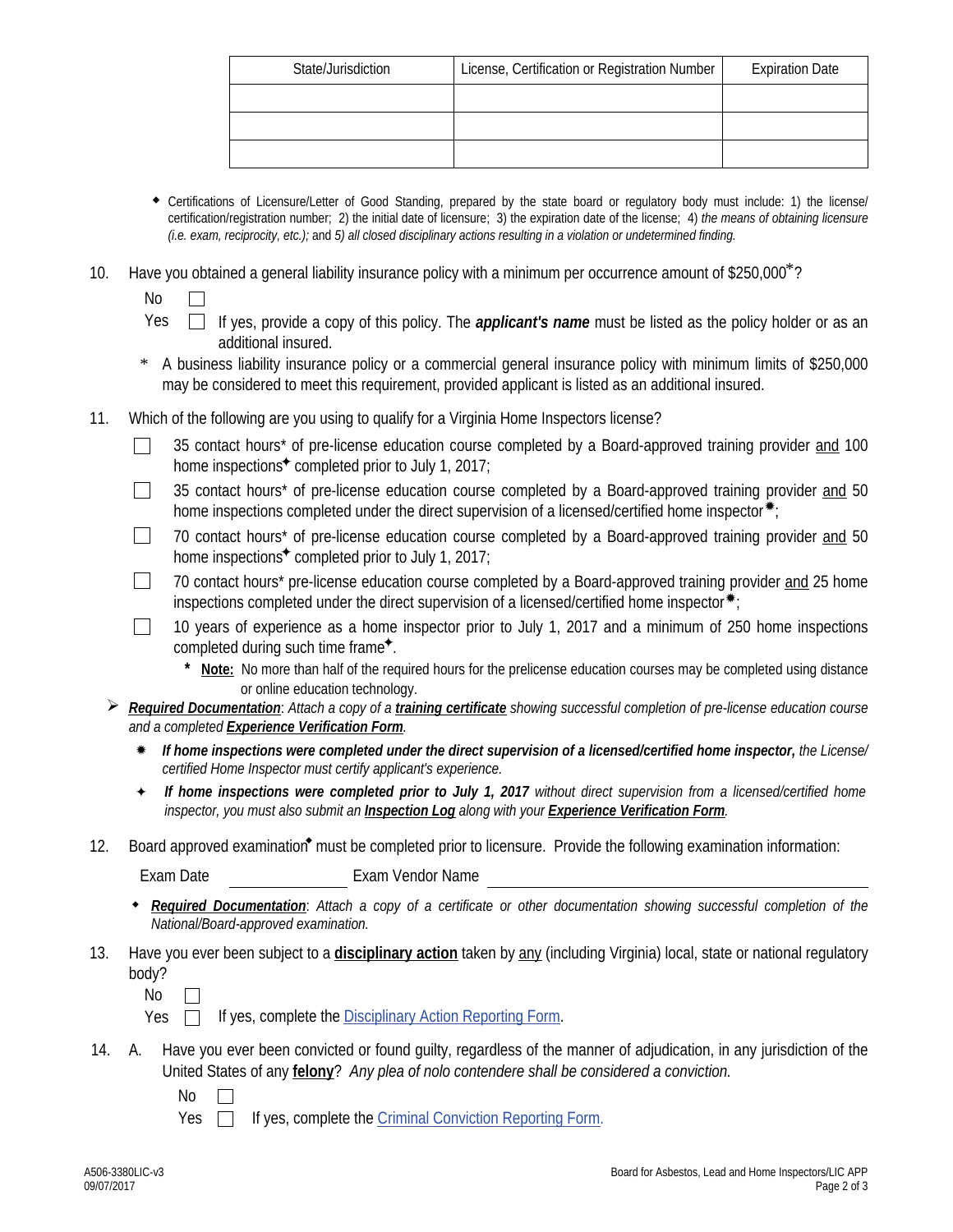| State/Jurisdiction | License, Certification or Registration Number | <b>Expiration Date</b> |  |  |
|--------------------|-----------------------------------------------|------------------------|--|--|
|                    |                                               |                        |  |  |
|                    |                                               |                        |  |  |
|                    |                                               |                        |  |  |

- Certifications of Licensure/Letter of Good Standing, prepared by the state board or regulatory body must include: 1) the license/ certification/registration number; 2) the initial date of licensure; 3) the expiration date of the license; 4) *the means of obtaining licensure (i.e. exam, reciprocity, etc.);* and *5) all closed disciplinary actions resulting in a violation or undetermined finding.*
- 10. Have you obtained a general liability insurance policy with a minimum per occurrence amount of \$250,000\*?

No

- Yes If yes, provide a copy of this policy. The *applicant's name* must be listed as the policy holder or as an additional insured.
- \* A business liability insurance policy or a commercial general insurance policy with minimum limits of \$250,000 may be considered to meet this requirement, provided applicant is listed as an additional insured.
- 11. Which of the following are you using to qualify for a Virginia Home Inspectors license?
	- 35 contact hours\* of pre-license education course completed by a Board-approved training provider and 100  $\mathbf{1}$ home inspections $\star$  completed prior to July 1, 2017;
	- 35 contact hours\* of pre-license education course completed by a Board-approved training provider and 50  $\sim$ home inspections completed under the direct supervision of a licensed/certified home inspector\*;
	- 70 contact hours\* of pre-license education course completed by a Board-approved training provider and 50  $\perp$ home inspections $\star$  completed prior to July 1, 2017;
	- 70 contact hours\* pre-license education course completed by a Board-approved training provider and 25 home  $\Box$ inspections completed under the direct supervision of a licensed/certified home inspector $*_;$
	- 10 years of experience as a home inspector prior to July 1, 2017 and a minimum of 250 home inspections  $\Box$ completed during such time frame $\text{*}$ .
		- **\* Note:** No more than half of the required hours for the prelicense education courses may be completed using distance or online education technology.
	- *Required Documentation*: *Attach a copy of a training certificate showing successful completion of pre-license education course and a completed Experience Verification Form.*
		- *If home inspections were completed under the direct supervision of a licensed/certified home inspector, the License/ certified Home Inspector must certify applicant's experience.*
		- If home inspections were completed prior to July 1, 2017 without direct supervision from a licensed/certified home *inspector, you must also submit an Inspection Log along with your Experience Verification Form.*  $\ddotmark$
- 12. Board approved examination<sup>\*</sup> must be completed prior to licensure. Provide the following examination information:

Exam Date Exam Vendor Name

- *Required Documentation*: *Attach a copy of a certificate or other documentation showing successful completion of the National/Board-approved examination.*
- 13. Have you ever been subject to a **disciplinary action** taken by any (including Virginia) local, state or national regulatory body?

No  $\perp$ 

- Yes  $\Box$  If yes, complete the Disciplinary Action Reporting Form.
- A. Have you ever been convicted or found guilty, regardless of the manner of adjudication, in any jurisdiction of the 14. United States of any **felony**? *Any plea of nolo contendere shall be considered a conviction.*
	- No
	- Yes  $\Box$ If yes, complete the Criminal Conviction Reporting Form.